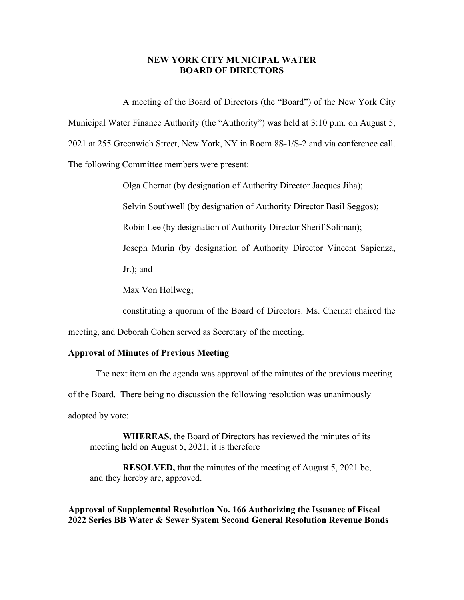## **NEW YORK CITY MUNICIPAL WATER BOARD OF DIRECTORS**

A meeting of the Board of Directors (the "Board") of the New York City Municipal Water Finance Authority (the "Authority") was held at 3:10 p.m. on August 5, 2021 at 255 Greenwich Street, New York, NY in Room 8S-1/S-2 and via conference call. The following Committee members were present:

Olga Chernat (by designation of Authority Director Jacques Jiha);

Selvin Southwell (by designation of Authority Director Basil Seggos);

Robin Lee (by designation of Authority Director Sherif Soliman);

Joseph Murin (by designation of Authority Director Vincent Sapienza,

Jr.); and

Max Von Hollweg;

constituting a quorum of the Board of Directors. Ms. Chernat chaired the

meeting, and Deborah Cohen served as Secretary of the meeting.

## **Approval of Minutes of Previous Meeting**

The next item on the agenda was approval of the minutes of the previous meeting of the Board. There being no discussion the following resolution was unanimously adopted by vote:

**WHEREAS,** the Board of Directors has reviewed the minutes of its meeting held on August 5, 2021; it is therefore

**RESOLVED,** that the minutes of the meeting of August 5, 2021 be, and they hereby are, approved.

**Approval of Supplemental Resolution No. 166 Authorizing the Issuance of Fiscal 2022 Series BB Water & Sewer System Second General Resolution Revenue Bonds**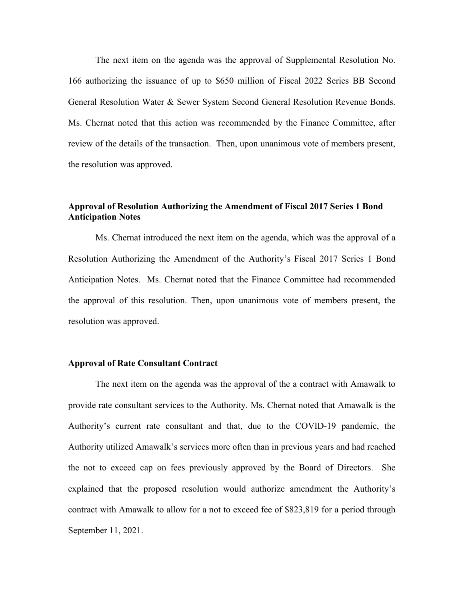The next item on the agenda was the approval of Supplemental Resolution No. 166 authorizing the issuance of up to \$650 million of Fiscal 2022 Series BB Second General Resolution Water & Sewer System Second General Resolution Revenue Bonds. Ms. Chernat noted that this action was recommended by the Finance Committee, after review of the details of the transaction. Then, upon unanimous vote of members present, the resolution was approved.

# **Approval of Resolution Authorizing the Amendment of Fiscal 2017 Series 1 Bond Anticipation Notes**

Ms. Chernat introduced the next item on the agenda, which was the approval of a Resolution Authorizing the Amendment of the Authority's Fiscal 2017 Series 1 Bond Anticipation Notes. Ms. Chernat noted that the Finance Committee had recommended the approval of this resolution. Then, upon unanimous vote of members present, the resolution was approved.

### **Approval of Rate Consultant Contract**

The next item on the agenda was the approval of the a contract with Amawalk to provide rate consultant services to the Authority. Ms. Chernat noted that Amawalk is the Authority's current rate consultant and that, due to the COVID-19 pandemic, the Authority utilized Amawalk's services more often than in previous years and had reached the not to exceed cap on fees previously approved by the Board of Directors. She explained that the proposed resolution would authorize amendment the Authority's contract with Amawalk to allow for a not to exceed fee of \$823,819 for a period through September 11, 2021.